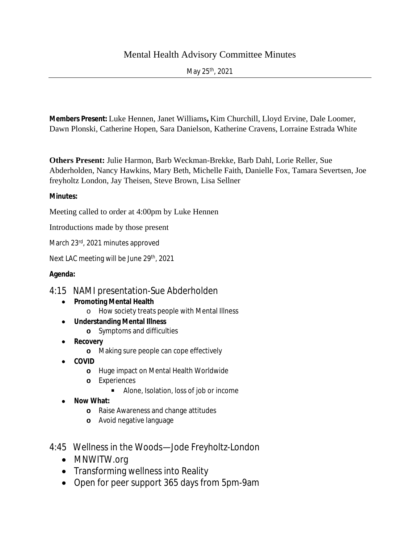## Mental Health Advisory Committee Minutes

May 25th, 2021

**Members Present:** Luke Hennen, Janet Williams**,** Kim Churchill, Lloyd Ervine, Dale Loomer, Dawn Plonski, Catherine Hopen, Sara Danielson, Katherine Cravens, Lorraine Estrada White

**Others Present:** Julie Harmon, Barb Weckman-Brekke, Barb Dahl, Lorie Reller, Sue Abderholden, Nancy Hawkins, Mary Beth, Michelle Faith, Danielle Fox, Tamara Severtsen, Joe freyholtz London, Jay Theisen, Steve Brown, Lisa Sellner

## **Minutes:**

Meeting called to order at 4:00pm by Luke Hennen

Introductions made by those present

March 23rd, 2021 minutes approved

Next LAC meeting will be June 29<sup>th</sup>, 2021

## **Agenda:**

## 4:15 NAMI presentation-Sue Abderholden

- **Promoting Mental Health**
	- o How society treats people with Mental Illness
- **Understanding Mental Illness**
	- **o** Symptoms and difficulties
- **Recovery**
	- **o** Making sure people can cope effectively
- **COVID**
	- **o** Huge impact on Mental Health Worldwide
	- **o** Experiences
		- Alone, Isolation, loss of job or income
- **Now What:**
	- **o** Raise Awareness and change attitudes
	- **o** Avoid negative language
- 4:45 Wellness in the Woods—Jode Freyholtz-London
	- MNWITW.org
	- Transforming wellness into Reality
	- Open for peer support 365 days from 5pm-9am